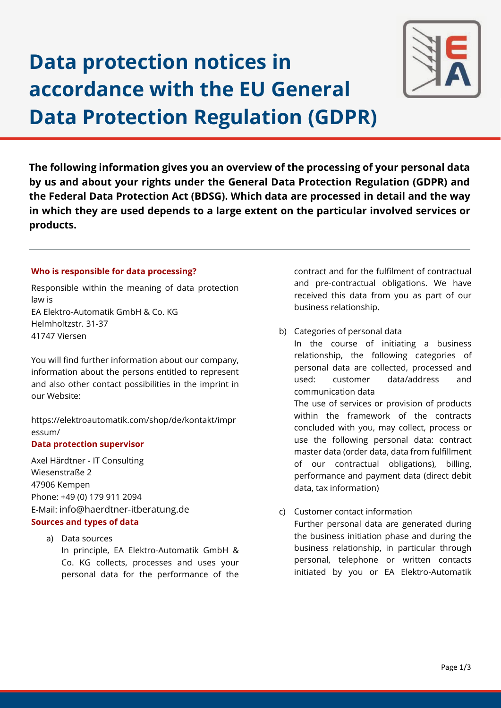# **Data protection notices in accordance with the EU General Data Protection Regulation (GDPR)**



**The following information gives you an overview of the processing of your personal data by us and about your rights under the General Data Protection Regulation (GDPR) and the Federal Data Protection Act (BDSG). Which data are processed in detail and the way in which they are used depends to a large extent on the particular involved services or products.**

## **Who is responsible for data processing?**

Responsible within the meaning of data protection law is EA Elektro-Automatik GmbH & Co. KG Helmholtzstr. 31-37 41747 Viersen

You will find further information about our company, information about the persons entitled to represent and also other contact possibilities in the imprint in our Website:

[https://elektroautomatik.com/shop/de/kontakt/impr](https://elektroautomatik.com/shop/de/kontakt/impressum/) [essum/](https://elektroautomatik.com/shop/de/kontakt/impressum/)

## **Data protection supervisor**

Axel Härdtner - IT Consulting Wiesenstraße 2 47906 Kempen Phone: +49 (0) 179 911 2094 E-Mail: [info@haerdtner-itberatung.de](mailto:info@haerdtner-itberatung.de)

## **Sources and types of data**

a) Data sources In principle, EA Elektro-Automatik GmbH & Co. KG collects, processes and uses your personal data for the performance of the contract and for the fulfilment of contractual and pre-contractual obligations. We have received this data from you as part of our business relationship.

b) Categories of personal data

In the course of initiating a business relationship, the following categories of personal data are collected, processed and used: customer data/address and communication data

The use of services or provision of products within the framework of the contracts concluded with you, may collect, process or use the following personal data: contract master data (order data, data from fulfillment of our contractual obligations), billing, performance and payment data (direct debit data, tax information)

c) Customer contact information Further personal data are generated during the business initiation phase and during the business relationship, in particular through personal, telephone or written contacts initiated by you or EA Elektro-Automatik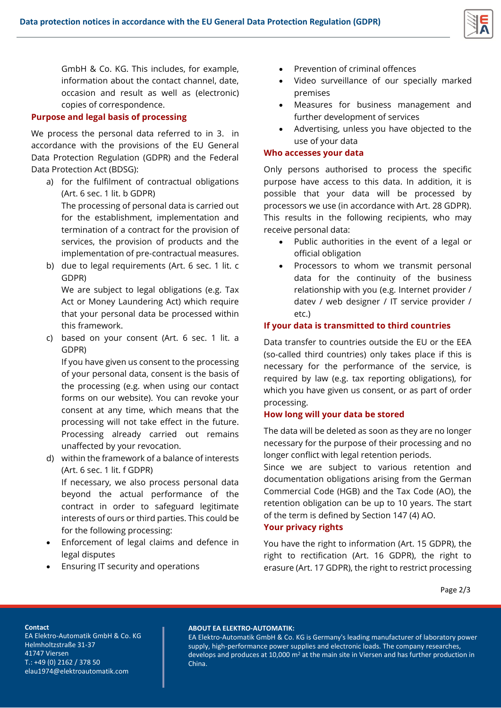

GmbH & Co. KG. This includes, for example, information about the contact channel, date, occasion and result as well as (electronic) copies of correspondence.

#### **Purpose and legal basis of processing**

We process the personal data referred to in 3. in accordance with the provisions of the EU General Data Protection Regulation (GDPR) and the Federal Data Protection Act (BDSG):

- a) for the fulfilment of contractual obligations (Art. 6 sec. 1 lit. b GDPR) The processing of personal data is carried out for the establishment, implementation and termination of a contract for the provision of services, the provision of products and the implementation of pre-contractual measures.
- b) due to legal requirements (Art. 6 sec. 1 lit. c GDPR)

We are subject to legal obligations (e.g. Tax Act or Money Laundering Act) which require that your personal data be processed within this framework.

c) based on your consent (Art. 6 sec. 1 lit. a GDPR)

If you have given us consent to the processing of your personal data, consent is the basis of the processing (e.g. when using our contact forms on our website). You can revoke your consent at any time, which means that the processing will not take effect in the future. Processing already carried out remains unaffected by your revocation.

- d) within the framework of a balance of interests (Art. 6 sec. 1 lit. f GDPR) If necessary, we also process personal data beyond the actual performance of the contract in order to safeguard legitimate interests of ours or third parties. This could be for the following processing:
- Enforcement of legal claims and defence in legal disputes
- Ensuring IT security and operations
- Prevention of criminal offences
- Video surveillance of our specially marked premises
- Measures for business management and further development of services
- Advertising, unless you have objected to the use of your data

#### **Who accesses your data**

Only persons authorised to process the specific purpose have access to this data. In addition, it is possible that your data will be processed by processors we use (in accordance with Art. 28 GDPR). This results in the following recipients, who may receive personal data:

- Public authorities in the event of a legal or official obligation
- Processors to whom we transmit personal data for the continuity of the business relationship with you (e.g. Internet provider / datev / web designer / IT service provider / etc.)

### **If your data is transmitted to third countries**

Data transfer to countries outside the EU or the EEA (so-called third countries) only takes place if this is necessary for the performance of the service, is required by law (e.g. tax reporting obligations), for which you have given us consent, or as part of order processing.

#### **How long will your data be stored**

The data will be deleted as soon as they are no longer necessary for the purpose of their processing and no longer conflict with legal retention periods.

Since we are subject to various retention and documentation obligations arising from the German Commercial Code (HGB) and the Tax Code (AO), the retention obligation can be up to 10 years. The start of the term is defined by Section 147 (4) AO.

#### **Your privacy rights**

You have the right to information (Art. 15 GDPR), the right to rectification (Art. 16 GDPR), the right to erasure (Art. 17 GDPR), the right to restrict processing

Page 2/3

#### **Contact**

EA Elektro-Automatik GmbH & Co. KG Helmholtzstraße 31-37 41747 Viersen T.: +49 (0) 2162 / 378 50 elau1974@elektroautomatik.com

#### **ABOUT EA ELEKTRO-AUTOMATIK:**

EA Elektro-Automatik GmbH & Co. KG is Germany's leading manufacturer of laboratory power supply, high-performance power supplies and electronic loads. The company researches, develops and produces at 10,000 m<sup>2</sup> at the main site in Viersen and has further production in China.